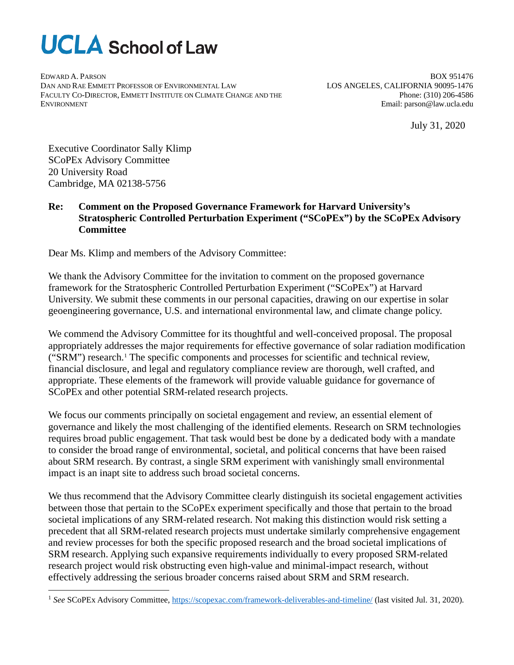# **UCLA** School of Law

EDWARD A. PARSON DAN AND RAE EMMETT PROFESSOR OF ENVIRONMENTAL LAW FACULTY CO-DIRECTOR, EMMETT INSTITUTE ON CLIMATE CHANGE AND THE ENVIRONMENT

BOX 951476 LOS ANGELES, CALIFORNIA 90095-1476 Phone: (310) 206-4586 Email: parson@law.ucla.edu

July 31, 2020

Executive Coordinator Sally Klimp SCoPEx Advisory Committee 20 University Road Cambridge, MA 02138-5756

## **Re: Comment on the Proposed Governance Framework for Harvard University's Stratospheric Controlled Perturbation Experiment ("SCoPEx") by the SCoPEx Advisory Committee**

Dear Ms. Klimp and members of the Advisory Committee:

We thank the Advisory Committee for the invitation to comment on the proposed governance framework for the Stratospheric Controlled Perturbation Experiment ("SCoPEx") at Harvard University. We submit these comments in our personal capacities, drawing on our expertise in solar geoengineering governance, U.S. and international environmental law, and climate change policy.

We commend the Advisory Committee for its thoughtful and well-conceived proposal. The proposal appropriately addresses the major requirements for effective governance of solar radiation modification ("SRM") research.[1](#page-0-0) The specific components and processes for scientific and technical review, financial disclosure, and legal and regulatory compliance review are thorough, well crafted, and appropriate. These elements of the framework will provide valuable guidance for governance of SCoPEx and other potential SRM-related research projects.

We focus our comments principally on societal engagement and review, an essential element of governance and likely the most challenging of the identified elements. Research on SRM technologies requires broad public engagement. That task would best be done by a dedicated body with a mandate to consider the broad range of environmental, societal, and political concerns that have been raised about SRM research. By contrast, a single SRM experiment with vanishingly small environmental impact is an inapt site to address such broad societal concerns.

We thus recommend that the Advisory Committee clearly distinguish its societal engagement activities between those that pertain to the SCoPEx experiment specifically and those that pertain to the broad societal implications of any SRM-related research. Not making this distinction would risk setting a precedent that all SRM-related research projects must undertake similarly comprehensive engagement and review processes for both the specific proposed research and the broad societal implications of SRM research. Applying such expansive requirements individually to every proposed SRM-related research project would risk obstructing even high-value and minimal-impact research, without effectively addressing the serious broader concerns raised about SRM and SRM research.

<span id="page-0-0"></span><sup>1</sup> *See* SCoPEx Advisory Committee[, https://scopexac.com/framework-deliverables-and-timeline/](https://scopexac.com/framework-deliverables-and-timeline/) (last visited Jul. 31, 2020).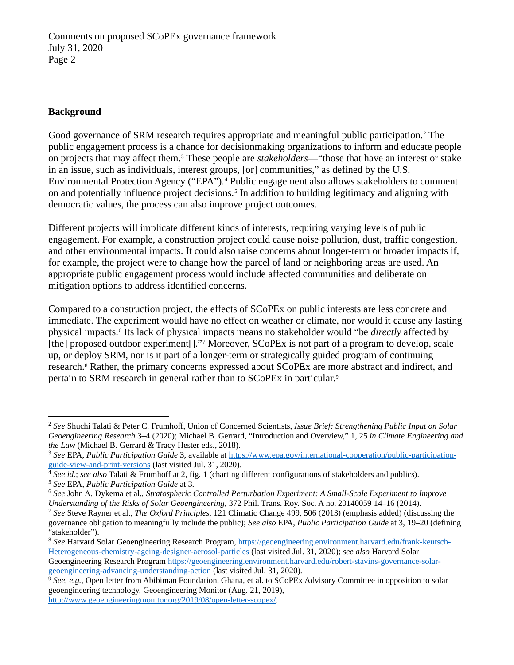## **Background**

Good governance of SRM research requires appropriate and meaningful public participation.[2](#page-1-0) The public engagement process is a chance for decisionmaking organizations to inform and educate people on projects that may affect them.[3](#page-1-1) These people are *stakeholders*—"those that have an interest or stake in an issue, such as individuals, interest groups, [or] communities," as defined by the U.S. Environmental Protection Agency ("EPA").<sup>[4](#page-1-2)</sup> Public engagement also allows stakeholders to comment on and potentially influence project decisions.<sup>[5](#page-1-3)</sup> In addition to building legitimacy and aligning with democratic values, the process can also improve project outcomes.

Different projects will implicate different kinds of interests, requiring varying levels of public engagement. For example, a construction project could cause noise pollution, dust, traffic congestion, and other environmental impacts. It could also raise concerns about longer-term or broader impacts if, for example, the project were to change how the parcel of land or neighboring areas are used. An appropriate public engagement process would include affected communities and deliberate on mitigation options to address identified concerns.

Compared to a construction project, the effects of SCoPEx on public interests are less concrete and immediate. The experiment would have no effect on weather or climate, nor would it cause any lasting physical impacts.[6](#page-1-4) Its lack of physical impacts means no stakeholder would "be *directly* affected by [the] proposed outdoor experiment[]."<sup>[7](#page-1-5)</sup> Moreover, SCoPEx is not part of a program to develop, scale up, or deploy SRM, nor is it part of a longer-term or strategically guided program of continuing research.[8](#page-1-6) Rather, the primary concerns expressed about SCoPEx are more abstract and indirect, and pertain to SRM research in general rather than to SCoPEx in particular. [9](#page-1-7)

<span id="page-1-0"></span><sup>2</sup> *See* Shuchi Talati & Peter C. Frumhoff, Union of Concerned Scientists, *Issue Brief: Strengthening Public Input on Solar Geoengineering Research* 3–4 (2020); Michael B. Gerrard, "Introduction and Overview," 1, 25 *in Climate Engineering and the Law* (Michael B. Gerrard & Tracy Hester eds., 2018).

<span id="page-1-1"></span><sup>&</sup>lt;sup>3</sup> See EPA, *Public Participation Guide* 3, available at https://www.epa.gov/international-cooperation/public-participation-<br>guide-view-and-print-versions (last visited Jul. 31, 2020).

<span id="page-1-2"></span> $\frac{4}{3}$  See id.; see also Talati & Frumhoff at 2, fig. 1 (charting different configurations of stakeholders and publics). <sup>5</sup> *See* EPA, *Public Participation Guide* at 3.

<span id="page-1-4"></span><span id="page-1-3"></span><sup>6</sup> *See* John A. Dykema et al., *Stratospheric Controlled Perturbation Experiment: A Small-Scale Experiment to Improve Understanding of the Risks of Solar Geoengineering*, 372 Phil. Trans. Roy. Soc. A no. 20140059 14–16 (2014).

<span id="page-1-5"></span><sup>7</sup> *See* Steve Rayner et al., *The Oxford Principles*, 121 Climatic Change 499, 506 (2013) (emphasis added) (discussing the governance obligation to meaningfully include the public); *See also* EPA, *Public Participation Guide* at 3, 19–20 (defining "stakeholder").

<span id="page-1-6"></span><sup>8</sup> *See* Harvard Solar Geoengineering Research Program[, https://geoengineering.environment.harvard.edu/frank-keutsch-](https://geoengineering.environment.harvard.edu/frank-keutsch-Heterogeneous-chemistry-ageing-designer-aerosol-particles)[Heterogeneous-chemistry-ageing-designer-aerosol-particles](https://geoengineering.environment.harvard.edu/frank-keutsch-Heterogeneous-chemistry-ageing-designer-aerosol-particles) (last visited Jul. 31, 2020); *see also* Harvard Solar Geoengineering Research Program [https://geoengineering.environment.harvard.edu/robert-stavins-governance-solar](https://geoengineering.environment.harvard.edu/robert-stavins-governance-solar-geoengineering-advancing-understanding-action)[geoengineering-advancing-understanding-action](https://geoengineering.environment.harvard.edu/robert-stavins-governance-solar-geoengineering-advancing-understanding-action) (last visited Jul. 31, 2020).

<span id="page-1-7"></span><sup>&</sup>lt;sup>9</sup> See, e.g., Open letter from Abibiman Foundation, Ghana, et al. to SCoPEx Advisory Committee in opposition to solar geoengineering technology, Geoengineering Monitor (Aug. 21, 2019), [http://www.geoengineeringmonitor.org/2019/08/open-letter-scopex/.](http://www.geoengineeringmonitor.org/2019/08/open-letter-scopex/)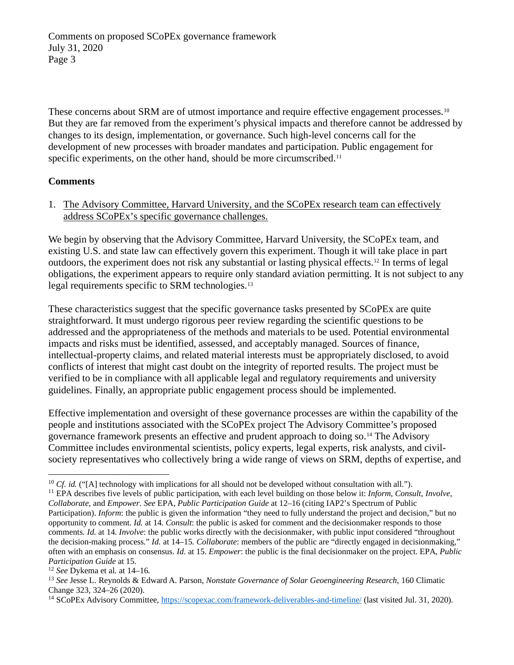These concerns about SRM are of utmost importance and require effective engagement processes.<sup>[10](#page-2-0)</sup> But they are far removed from the experiment's physical impacts and therefore cannot be addressed by changes to its design, implementation, or governance. Such high-level concerns call for the development of new processes with broader mandates and participation. Public engagement for specific experiments, on the other hand, should be more circumscribed.<sup>[11](#page-2-1)</sup>

#### **Comments**

1. The Advisory Committee, Harvard University, and the SCoPEx research team can effectively address SCoPEx's specific governance challenges.

We begin by observing that the Advisory Committee, Harvard University, the SCoPEx team, and existing U.S. and state law can effectively govern this experiment. Though it will take place in part outdoors, the experiment does not risk any substantial or lasting physical effects.[12](#page-2-2) In terms of legal obligations, the experiment appears to require only standard aviation permitting. It is not subject to any legal requirements specific to SRM technologies.[13](#page-2-3)

These characteristics suggest that the specific governance tasks presented by SCoPEx are quite straightforward. It must undergo rigorous peer review regarding the scientific questions to be addressed and the appropriateness of the methods and materials to be used. Potential environmental impacts and risks must be identified, assessed, and acceptably managed. Sources of finance, intellectual-property claims, and related material interests must be appropriately disclosed, to avoid conflicts of interest that might cast doubt on the integrity of reported results. The project must be verified to be in compliance with all applicable legal and regulatory requirements and university guidelines. Finally, an appropriate public engagement process should be implemented.

Effective implementation and oversight of these governance processes are within the capability of the people and institutions associated with the SCoPEx project The Advisory Committee's proposed governance framework presents an effective and prudent approach to doing so.[14](#page-2-4) The Advisory Committee includes environmental scientists, policy experts, legal experts, risk analysts, and civilsociety representatives who collectively bring a wide range of views on SRM, depths of expertise, and

<span id="page-2-1"></span><span id="page-2-0"></span><sup>&</sup>lt;sup>10</sup> *Cf. id.* ("[A] technology with implications for all should not be developed without consultation with all.").<br><sup>11</sup> EPA describes five levels of public participation, with each level building on those below it: *Info Collaborate*, and *Empower*. *See* EPA, *Public Participation Guide* at 12–16 (citing IAP2's Spectrum of Public Participation). *Inform*: the public is given the information "they need to fully understand the project and decision," but no opportunity to comment. *Id.* at 14. *Consult*: the public is asked for comment and the decisionmaker responds to those comments. *Id.* at 14. *Involve*: the public works directly with the decisionmaker, with public input considered "throughout the decision-making process." *Id.* at 14–15. *Collaborate*: members of the public are "directly engaged in decisionmaking," often with an emphasis on consensus. *Id.* at 15. *Empower*: the public is the final decisionmaker on the project. EPA, *Public* 

<span id="page-2-2"></span>*Participation Guide* at 15.<br><sup>12</sup> *See* Dykema et al. at 14–16.

<span id="page-2-3"></span><sup>13</sup> *See* Jesse L. Reynolds & Edward A. Parson, *Nonstate Governance of Solar Geoengineering Research*, 160 Climatic

<span id="page-2-4"></span><sup>&</sup>lt;sup>14</sup> SCoPEx Advisory Committee[, https://scopexac.com/framework-deliverables-and-timeline/](https://scopexac.com/framework-deliverables-and-timeline/) (last visited Jul. 31, 2020).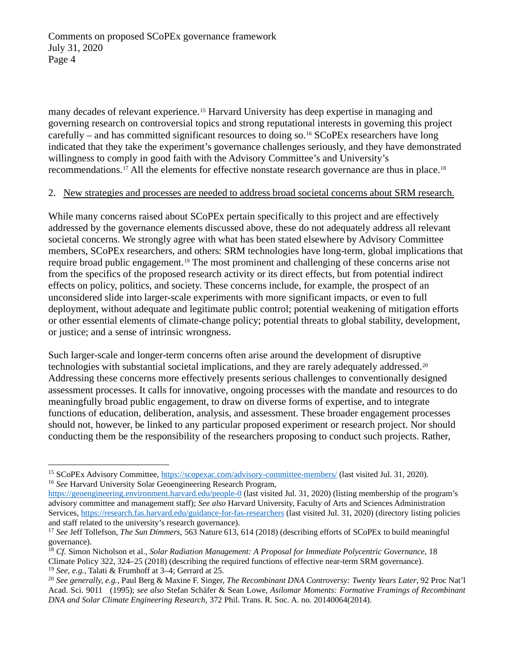many decades of relevant experience.<sup>15</sup> Harvard University has deep expertise in managing and governing research on controversial topics and strong reputational interests in governing this project carefully – and has committed significant resources to doing so.<sup>[16](#page-3-1)</sup> SCoPEx researchers have long indicated that they take the experiment's governance challenges seriously, and they have demonstrated willingness to comply in good faith with the Advisory Committee's and University's recommendations.<sup>[17](#page-3-2)</sup> All the elements for effective nonstate research governance are thus in place.<sup>[18](#page-3-3)</sup>

#### 2. New strategies and processes are needed to address broad societal concerns about SRM research.

While many concerns raised about SCoPEx pertain specifically to this project and are effectively addressed by the governance elements discussed above, these do not adequately address all relevant societal concerns. We strongly agree with what has been stated elsewhere by Advisory Committee members, SCoPEx researchers, and others: SRM technologies have long-term, global implications that require broad public engagement.[19](#page-3-4) The most prominent and challenging of these concerns arise not from the specifics of the proposed research activity or its direct effects, but from potential indirect effects on policy, politics, and society. These concerns include, for example, the prospect of an unconsidered slide into larger-scale experiments with more significant impacts, or even to full deployment, without adequate and legitimate public control; potential weakening of mitigation efforts or other essential elements of climate-change policy; potential threats to global stability, development, or justice; and a sense of intrinsic wrongness.

Such larger-scale and longer-term concerns often arise around the development of disruptive technologies with substantial societal implications, and they are rarely adequately addressed.[20](#page-3-5) Addressing these concerns more effectively presents serious challenges to conventionally designed assessment processes. It calls for innovative, ongoing processes with the mandate and resources to do meaningfully broad public engagement, to draw on diverse forms of expertise, and to integrate functions of education, deliberation, analysis, and assessment. These broader engagement processes should not, however, be linked to any particular proposed experiment or research project. Nor should conducting them be the responsibility of the researchers proposing to conduct such projects. Rather,

<span id="page-3-0"></span><sup>&</sup>lt;sup>15</sup> SCoPEx Advisory Committee[, https://scopexac.com/advisory-committee-members/](https://scopexac.com/advisory-committee-members/) (last visited Jul. 31, 2020). <sup>16</sup> *See* Harvard University Solar Geoengineering Research Program,

<span id="page-3-1"></span><https://geoengineering.environment.harvard.edu/people-0> (last visited Jul. 31, 2020) (listing membership of the program's advisory committee and management staff); *See also* Harvard University, Faculty of Arts and Sciences Administration Services,<https://research.fas.harvard.edu/guidance-for-fas-researchers> (last visited Jul. 31, 2020) (directory listing policies and staff related to the university's research governance).

<span id="page-3-2"></span><sup>17</sup> *See* Jeff Tollefson, *The Sun Dimmers*, 563 Nature 613, 614 (2018) (describing efforts of SCoPEx to build meaningful governance).

<span id="page-3-3"></span><sup>18</sup> *Cf.* Simon Nicholson et al., *Solar Radiation Management: A Proposal for Immediate Polycentric Governance*, 18 Climate Policy 322, 324–25 (2018) (describing the required functions of effective near-term SRM governance). <sup>19</sup> *See, e.g.*, Talati & Frumhoff at 3–4; Gerrard at 25.

<span id="page-3-5"></span><span id="page-3-4"></span><sup>20</sup> *See generally, e.g.,* Paul Berg & Maxine F. Singer, *The Recombinant DNA Controversy: Twenty Years Later*, 92 Proc Nat'l Acad. Sci. 9011 (1995); *see also* Stefan Schäfer & Sean Lowe, *Asilomar Moments: Formative Framings of Recombinant DNA and Solar Climate Engineering Research*, 372 Phil. Trans. R. Soc. A. no. 20140064(2014).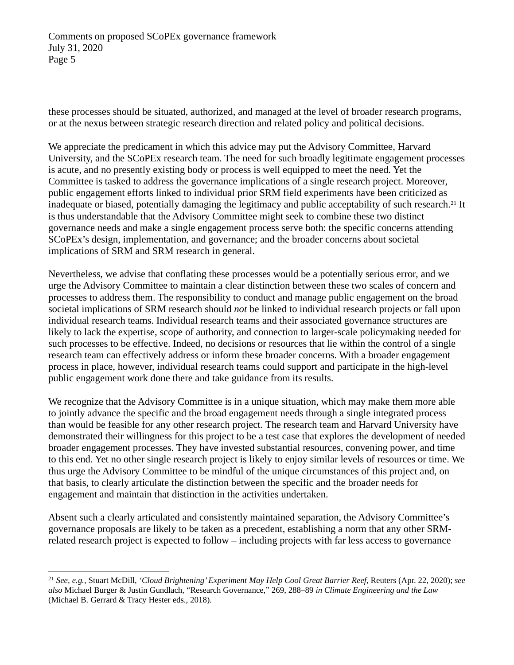these processes should be situated, authorized, and managed at the level of broader research programs, or at the nexus between strategic research direction and related policy and political decisions.

We appreciate the predicament in which this advice may put the Advisory Committee, Harvard University, and the SCoPEx research team. The need for such broadly legitimate engagement processes is acute, and no presently existing body or process is well equipped to meet the need. Yet the Committee is tasked to address the governance implications of a single research project. Moreover, public engagement efforts linked to individual prior SRM field experiments have been criticized as inadequate or biased, potentially damaging the legitimacy and public acceptability of such research.[21](#page-4-0) It is thus understandable that the Advisory Committee might seek to combine these two distinct governance needs and make a single engagement process serve both: the specific concerns attending SCoPEx's design, implementation, and governance; and the broader concerns about societal implications of SRM and SRM research in general.

Nevertheless, we advise that conflating these processes would be a potentially serious error, and we urge the Advisory Committee to maintain a clear distinction between these two scales of concern and processes to address them. The responsibility to conduct and manage public engagement on the broad societal implications of SRM research should *not* be linked to individual research projects or fall upon individual research teams. Individual research teams and their associated governance structures are likely to lack the expertise, scope of authority, and connection to larger-scale policymaking needed for such processes to be effective. Indeed, no decisions or resources that lie within the control of a single research team can effectively address or inform these broader concerns. With a broader engagement process in place, however, individual research teams could support and participate in the high-level public engagement work done there and take guidance from its results.

We recognize that the Advisory Committee is in a unique situation, which may make them more able to jointly advance the specific and the broad engagement needs through a single integrated process than would be feasible for any other research project. The research team and Harvard University have demonstrated their willingness for this project to be a test case that explores the development of needed broader engagement processes. They have invested substantial resources, convening power, and time to this end. Yet no other single research project is likely to enjoy similar levels of resources or time. We thus urge the Advisory Committee to be mindful of the unique circumstances of this project and, on that basis, to clearly articulate the distinction between the specific and the broader needs for engagement and maintain that distinction in the activities undertaken.

Absent such a clearly articulated and consistently maintained separation, the Advisory Committee's governance proposals are likely to be taken as a precedent, establishing a norm that any other SRMrelated research project is expected to follow – including projects with far less access to governance

<span id="page-4-0"></span><sup>21</sup> *See, e.g.*, Stuart McDill, *'Cloud Brightening' Experiment May Help Cool Great Barrier Reef*, Reuters (Apr. 22, 2020); *see also* Michael Burger & Justin Gundlach, "Research Governance," 269, 288–89 *in Climate Engineering and the Law* (Michael B. Gerrard & Tracy Hester eds., 2018).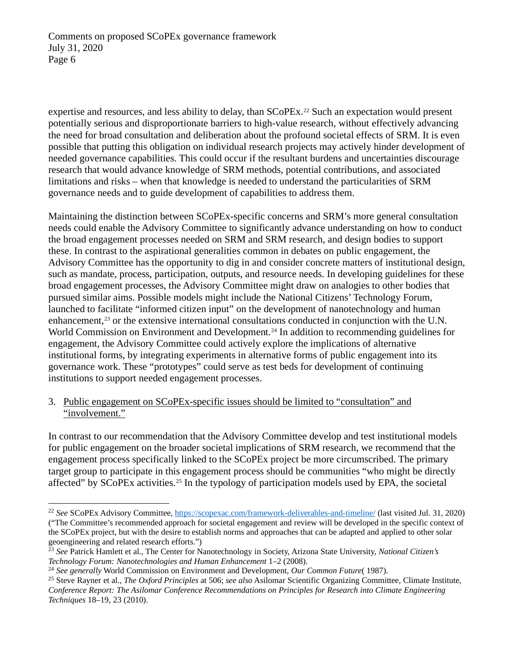expertise and resources, and less ability to delay, than SCoPEx.<sup>[22](#page-5-0)</sup> Such an expectation would present potentially serious and disproportionate barriers to high-value research, without effectively advancing the need for broad consultation and deliberation about the profound societal effects of SRM. It is even possible that putting this obligation on individual research projects may actively hinder development of needed governance capabilities. This could occur if the resultant burdens and uncertainties discourage research that would advance knowledge of SRM methods, potential contributions, and associated limitations and risks – when that knowledge is needed to understand the particularities of SRM governance needs and to guide development of capabilities to address them.

Maintaining the distinction between SCoPEx-specific concerns and SRM's more general consultation needs could enable the Advisory Committee to significantly advance understanding on how to conduct the broad engagement processes needed on SRM and SRM research, and design bodies to support these. In contrast to the aspirational generalities common in debates on public engagement, the Advisory Committee has the opportunity to dig in and consider concrete matters of institutional design, such as mandate, process, participation, outputs, and resource needs. In developing guidelines for these broad engagement processes, the Advisory Committee might draw on analogies to other bodies that pursued similar aims. Possible models might include the National Citizens' Technology Forum, launched to facilitate "informed citizen input" on the development of nanotechnology and human enhancement,<sup>[23](#page-5-1)</sup> or the extensive international consultations conducted in conjunction with the U.N. World Commission on Environment and Development.<sup>[24](#page-5-2)</sup> In addition to recommending guidelines for engagement, the Advisory Committee could actively explore the implications of alternative institutional forms, by integrating experiments in alternative forms of public engagement into its governance work. These "prototypes" could serve as test beds for development of continuing institutions to support needed engagement processes.

### 3. Public engagement on SCoPEx-specific issues should be limited to "consultation" and "involvement."

In contrast to our recommendation that the Advisory Committee develop and test institutional models for public engagement on the broader societal implications of SRM research, we recommend that the engagement process specifically linked to the SCoPEx project be more circumscribed. The primary target group to participate in this engagement process should be communities "who might be directly affected" by SCoPEx activities.<sup>[25](#page-5-3)</sup> In the typology of participation models used by EPA, the societal

<span id="page-5-0"></span><sup>22</sup> *See* SCoPEx Advisory Committee,<https://scopexac.com/framework-deliverables-and-timeline/> (last visited Jul. 31, 2020) ("The Committee's recommended approach for societal engagement and review will be developed in the specific context of the SCoPEx project, but with the desire to establish norms and approaches that can be adapted and applied to other solar geoengineering and related research efforts.")

<span id="page-5-1"></span><sup>23</sup> *See* Patrick Hamlett et al., The Center for Nanotechnology in Society, Arizona State University, *National Citizen's Technology Forum: Nanotechnologies and Human Enhancement* 1–2 (2008). 24 *See generally* World Commission on Environment and Development, *Our Common Future*( 1987).

<span id="page-5-2"></span>

<span id="page-5-3"></span><sup>25</sup> Steve Rayner et al., *The Oxford Principles* at 506; *see also* Asilomar Scientific Organizing Committee, Climate Institute, *Conference Report: The Asilomar Conference Recommendations on Principles for Research into Climate Engineering Techniques* 18–19, 23 (2010).